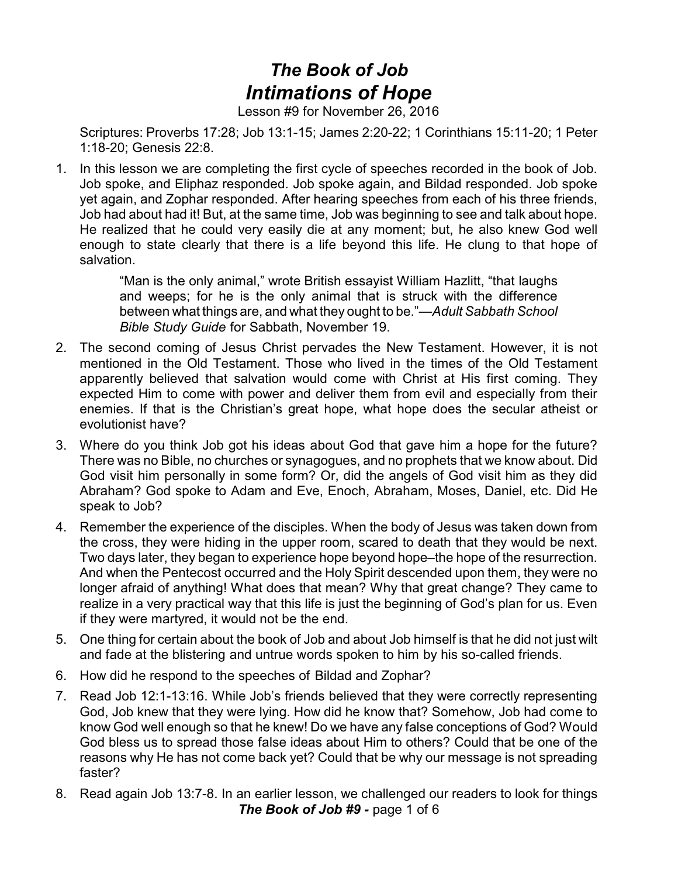## *The Book of Job Intimations of Hope*

Lesson #9 for November 26, 2016

Scriptures: Proverbs 17:28; Job 13:1-15; James 2:20-22; 1 Corinthians 15:11-20; 1 Peter 1:18-20; Genesis 22:8.

1. In this lesson we are completing the first cycle of speeches recorded in the book of Job. Job spoke, and Eliphaz responded. Job spoke again, and Bildad responded. Job spoke yet again, and Zophar responded. After hearing speeches from each of his three friends, Job had about had it! But, at the same time, Job was beginning to see and talk about hope. He realized that he could very easily die at any moment; but, he also knew God well enough to state clearly that there is a life beyond this life. He clung to that hope of salvation.

> "Man is the only animal," wrote British essayist William Hazlitt, "that laughs and weeps; for he is the only animal that is struck with the difference between what things are, and what they ought to be."—*Adult Sabbath School Bible Study Guide* for Sabbath, November 19.

- 2. The second coming of Jesus Christ pervades the New Testament. However, it is not mentioned in the Old Testament. Those who lived in the times of the Old Testament apparently believed that salvation would come with Christ at His first coming. They expected Him to come with power and deliver them from evil and especially from their enemies. If that is the Christian's great hope, what hope does the secular atheist or evolutionist have?
- 3. Where do you think Job got his ideas about God that gave him a hope for the future? There was no Bible, no churches or synagogues, and no prophets that we know about. Did God visit him personally in some form? Or, did the angels of God visit him as they did Abraham? God spoke to Adam and Eve, Enoch, Abraham, Moses, Daniel, etc. Did He speak to Job?
- 4. Remember the experience of the disciples. When the body of Jesus was taken down from the cross, they were hiding in the upper room, scared to death that they would be next. Two days later, they began to experience hope beyond hope–the hope of the resurrection. And when the Pentecost occurred and the Holy Spirit descended upon them, they were no longer afraid of anything! What does that mean? Why that great change? They came to realize in a very practical way that this life is just the beginning of God's plan for us. Even if they were martyred, it would not be the end.
- 5. One thing for certain about the book of Job and about Job himself is that he did not just wilt and fade at the blistering and untrue words spoken to him by his so-called friends.
- 6. How did he respond to the speeches of Bildad and Zophar?
- 7. Read Job 12:1-13:16. While Job's friends believed that they were correctly representing God, Job knew that they were lying. How did he know that? Somehow, Job had come to know God well enough so that he knew! Do we have any false conceptions of God? Would God bless us to spread those false ideas about Him to others? Could that be one of the reasons why He has not come back yet? Could that be why our message is not spreading faster?
- 8. Read again Job 13:7-8. In an earlier lesson, we challenged our readers to look for things *The Book of Job #9 -* page 1 of 6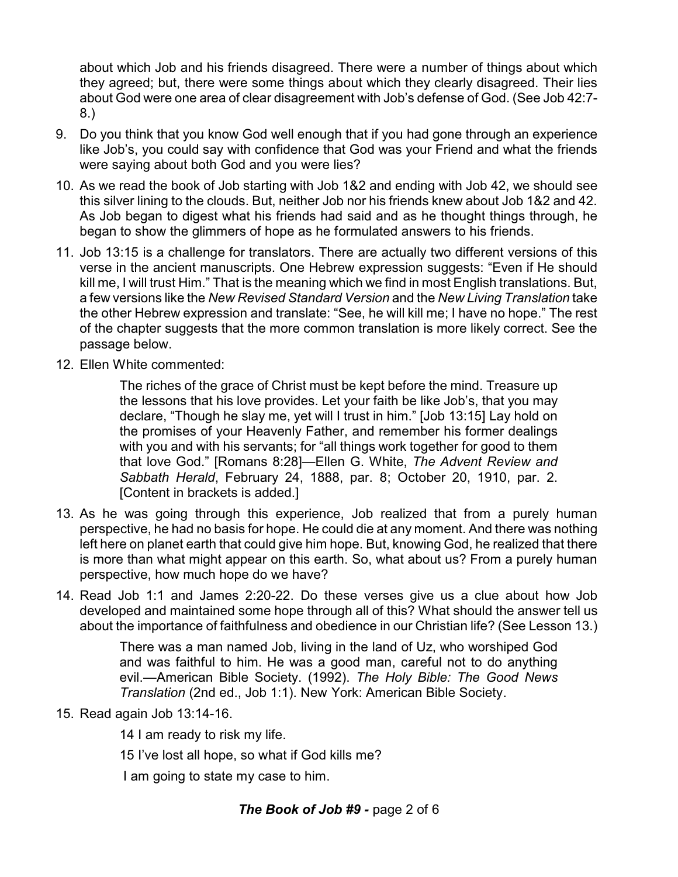about which Job and his friends disagreed. There were a number of things about which they agreed; but, there were some things about which they clearly disagreed. Their lies about God were one area of clear disagreement with Job's defense of God. (See Job 42:7- 8.)

- 9. Do you think that you know God well enough that if you had gone through an experience like Job's, you could say with confidence that God was your Friend and what the friends were saying about both God and you were lies?
- 10. As we read the book of Job starting with Job 1&2 and ending with Job 42, we should see this silver lining to the clouds. But, neither Job nor his friends knew about Job 1&2 and 42. As Job began to digest what his friends had said and as he thought things through, he began to show the glimmers of hope as he formulated answers to his friends.
- 11. Job 13:15 is a challenge for translators. There are actually two different versions of this verse in the ancient manuscripts. One Hebrew expression suggests: "Even if He should kill me, I will trust Him." That is the meaning which we find in most English translations. But, a few versions like the *New Revised Standard Version* and the *New Living Translation* take the other Hebrew expression and translate: "See, he will kill me; I have no hope." The rest of the chapter suggests that the more common translation is more likely correct. See the passage below.
- 12. Ellen White commented:

The riches of the grace of Christ must be kept before the mind. Treasure up the lessons that his love provides. Let your faith be like Job's, that you may declare, "Though he slay me, yet will I trust in him." [Job 13:15] Lay hold on the promises of your Heavenly Father, and remember his former dealings with you and with his servants; for "all things work together for good to them that love God." [Romans 8:28]—Ellen G. White, *The Advent Review and Sabbath Herald*, February 24, 1888, par. 8; October 20, 1910, par. 2. [Content in brackets is added.]

- 13. As he was going through this experience, Job realized that from a purely human perspective, he had no basis for hope. He could die at any moment. And there was nothing left here on planet earth that could give him hope. But, knowing God, he realized that there is more than what might appear on this earth. So, what about us? From a purely human perspective, how much hope do we have?
- 14. Read Job 1:1 and James 2:20-22. Do these verses give us a clue about how Job developed and maintained some hope through all of this? What should the answer tell us about the importance of faithfulness and obedience in our Christian life? (See Lesson 13.)

There was a man named Job, living in the land of Uz, who worshiped God and was faithful to him. He was a good man, careful not to do anything evil.—American Bible Society. (1992). *The Holy Bible: The Good News Translation* (2nd ed., Job 1:1). New York: American Bible Society.

- 15. Read again Job 13:14-16.
	- 14 I am ready to risk my life.
	- 15 I've lost all hope, so what if God kills me?

I am going to state my case to him.

## *The Book of Job #9 -* page 2 of 6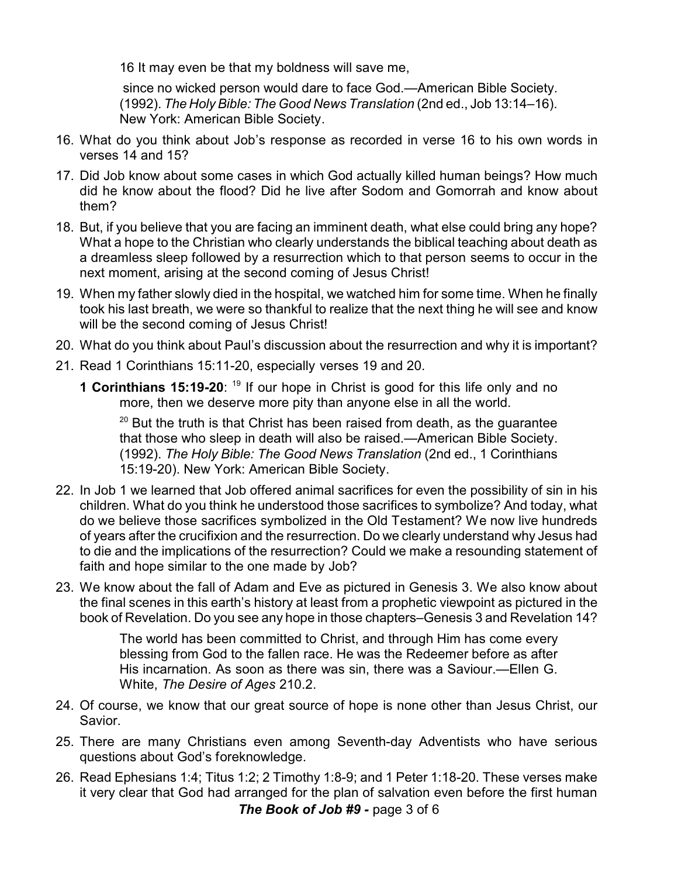16 It may even be that my boldness will save me,

since no wicked person would dare to face God.—American Bible Society. (1992). *The Holy Bible: The Good News Translation* (2nd ed., Job 13:14–16). New York: American Bible Society.

- 16. What do you think about Job's response as recorded in verse 16 to his own words in verses 14 and 15?
- 17. Did Job know about some cases in which God actually killed human beings? How much did he know about the flood? Did he live after Sodom and Gomorrah and know about them?
- 18. But, if you believe that you are facing an imminent death, what else could bring any hope? What a hope to the Christian who clearly understands the biblical teaching about death as a dreamless sleep followed by a resurrection which to that person seems to occur in the next moment, arising at the second coming of Jesus Christ!
- 19. When my father slowly died in the hospital, we watched him for some time. When he finally took his last breath, we were so thankful to realize that the next thing he will see and know will be the second coming of Jesus Christ!
- 20. What do you think about Paul's discussion about the resurrection and why it is important?
- 21. Read 1 Corinthians 15:11-20, especially verses 19 and 20.
	- **1 Corinthians 15:19-20**: <sup>19</sup> If our hope in Christ is good for this life only and no more, then we deserve more pity than anyone else in all the world.

 $^{20}$  But the truth is that Christ has been raised from death, as the guarantee that those who sleep in death will also be raised.—American Bible Society. (1992). *The Holy Bible: The Good News Translation* (2nd ed., 1 Corinthians 15:19-20). New York: American Bible Society.

- 22. In Job 1 we learned that Job offered animal sacrifices for even the possibility of sin in his children. What do you think he understood those sacrifices to symbolize? And today, what do we believe those sacrifices symbolized in the Old Testament? We now live hundreds of years after the crucifixion and the resurrection. Do we clearly understand why Jesus had to die and the implications of the resurrection? Could we make a resounding statement of faith and hope similar to the one made by Job?
- 23. We know about the fall of Adam and Eve as pictured in Genesis 3. We also know about the final scenes in this earth's history at least from a prophetic viewpoint as pictured in the book of Revelation. Do you see any hope in those chapters–Genesis 3 and Revelation 14?

The world has been committed to Christ, and through Him has come every blessing from God to the fallen race. He was the Redeemer before as after His incarnation. As soon as there was sin, there was a Saviour.—Ellen G. White, *The Desire of Ages* 210.2.

- 24. Of course, we know that our great source of hope is none other than Jesus Christ, our Savior.
- 25. There are many Christians even among Seventh-day Adventists who have serious questions about God's foreknowledge.
- 26. Read Ephesians 1:4; Titus 1:2; 2 Timothy 1:8-9; and 1 Peter 1:18-20. These verses make it very clear that God had arranged for the plan of salvation even before the first human *The Book of Job #9 -* page 3 of 6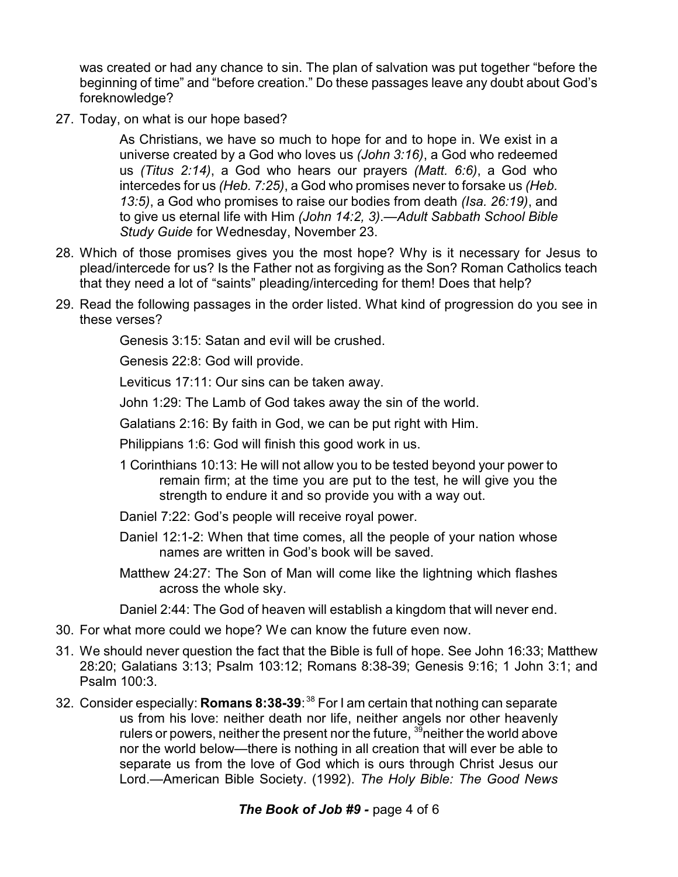was created or had any chance to sin. The plan of salvation was put together "before the beginning of time" and "before creation." Do these passages leave any doubt about God's foreknowledge?

27. Today, on what is our hope based?

As Christians, we have so much to hope for and to hope in. We exist in a universe created by a God who loves us *(John 3:16)*, a God who redeemed us *(Titus 2:14)*, a God who hears our prayers *(Matt. 6:6)*, a God who intercedes for us *(Heb. 7:25)*, a God who promises never to forsake us *(Heb. 13:5)*, a God who promises to raise our bodies from death *(Isa. 26:19)*, and to give us eternal life with Him *(John 14:2, 3)*.—*Adult Sabbath School Bible Study Guide* for Wednesday, November 23.

- 28. Which of those promises gives you the most hope? Why is it necessary for Jesus to plead/intercede for us? Is the Father not as forgiving as the Son? Roman Catholics teach that they need a lot of "saints" pleading/interceding for them! Does that help?
- 29. Read the following passages in the order listed. What kind of progression do you see in these verses?

Genesis 3:15: Satan and evil will be crushed.

Genesis 22:8: God will provide.

Leviticus 17:11: Our sins can be taken away.

John 1:29: The Lamb of God takes away the sin of the world.

Galatians 2:16: By faith in God, we can be put right with Him.

Philippians 1:6: God will finish this good work in us.

- 1 Corinthians 10:13: He will not allow you to be tested beyond your power to remain firm; at the time you are put to the test, he will give you the strength to endure it and so provide you with a way out.
- Daniel 7:22: God's people will receive royal power.
- Daniel 12:1-2: When that time comes, all the people of your nation whose names are written in God's book will be saved.
- Matthew 24:27: The Son of Man will come like the lightning which flashes across the whole sky.

Daniel 2:44: The God of heaven will establish a kingdom that will never end.

- 30. For what more could we hope? We can know the future even now.
- 31. We should never question the fact that the Bible is full of hope. See John 16:33; Matthew 28:20; Galatians 3:13; Psalm 103:12; Romans 8:38-39; Genesis 9:16; 1 John 3:1; and Psalm 100:3.
- 32. Consider especially: **Romans 8:38-39**: <sup>38</sup> For I am certain that nothing can separate us from his love: neither death nor life, neither angels nor other heavenly rulers or powers, neither the present nor the future,  $3\overline{9}$  neither the world above nor the world below—there is nothing in all creation that will ever be able to separate us from the love of God which is ours through Christ Jesus our Lord.—American Bible Society. (1992). *The Holy Bible: The Good News*

## *The Book of Job #9 -* page 4 of 6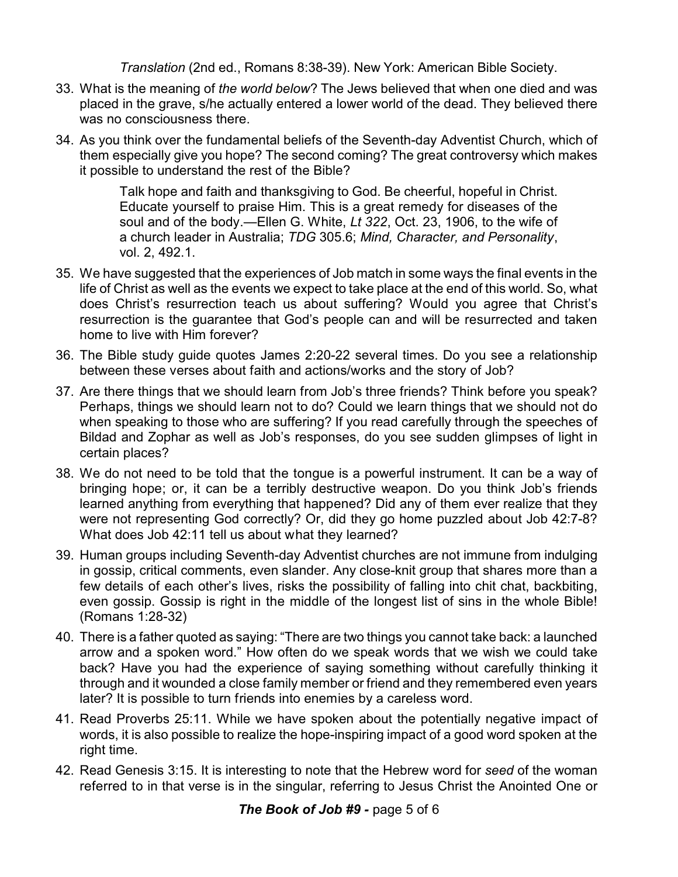*Translation* (2nd ed., Romans 8:38-39). New York: American Bible Society.

- 33. What is the meaning of *the world below*? The Jews believed that when one died and was placed in the grave, s/he actually entered a lower world of the dead. They believed there was no consciousness there.
- 34. As you think over the fundamental beliefs of the Seventh-day Adventist Church, which of them especially give you hope? The second coming? The great controversy which makes it possible to understand the rest of the Bible?

Talk hope and faith and thanksgiving to God. Be cheerful, hopeful in Christ. Educate yourself to praise Him. This is a great remedy for diseases of the soul and of the body.—Ellen G. White, *Lt 322*, Oct. 23, 1906, to the wife of a church leader in Australia; *TDG* 305.6; *Mind, Character, and Personality*, vol. 2, 492.1.

- 35. We have suggested that the experiences of Job match in some ways the final events in the life of Christ as well as the events we expect to take place at the end of this world. So, what does Christ's resurrection teach us about suffering? Would you agree that Christ's resurrection is the guarantee that God's people can and will be resurrected and taken home to live with Him forever?
- 36. The Bible study guide quotes James 2:20-22 several times. Do you see a relationship between these verses about faith and actions/works and the story of Job?
- 37. Are there things that we should learn from Job's three friends? Think before you speak? Perhaps, things we should learn not to do? Could we learn things that we should not do when speaking to those who are suffering? If you read carefully through the speeches of Bildad and Zophar as well as Job's responses, do you see sudden glimpses of light in certain places?
- 38. We do not need to be told that the tongue is a powerful instrument. It can be a way of bringing hope; or, it can be a terribly destructive weapon. Do you think Job's friends learned anything from everything that happened? Did any of them ever realize that they were not representing God correctly? Or, did they go home puzzled about Job 42:7-8? What does Job 42:11 tell us about what they learned?
- 39. Human groups including Seventh-day Adventist churches are not immune from indulging in gossip, critical comments, even slander. Any close-knit group that shares more than a few details of each other's lives, risks the possibility of falling into chit chat, backbiting, even gossip. Gossip is right in the middle of the longest list of sins in the whole Bible! (Romans 1:28-32)
- 40. There is a father quoted as saying: "There are two things you cannot take back: a launched arrow and a spoken word." How often do we speak words that we wish we could take back? Have you had the experience of saying something without carefully thinking it through and it wounded a close family member or friend and they remembered even years later? It is possible to turn friends into enemies by a careless word.
- 41. Read Proverbs 25:11. While we have spoken about the potentially negative impact of words, it is also possible to realize the hope-inspiring impact of a good word spoken at the right time.
- 42. Read Genesis 3:15. It is interesting to note that the Hebrew word for *seed* of the woman referred to in that verse is in the singular, referring to Jesus Christ the Anointed One or